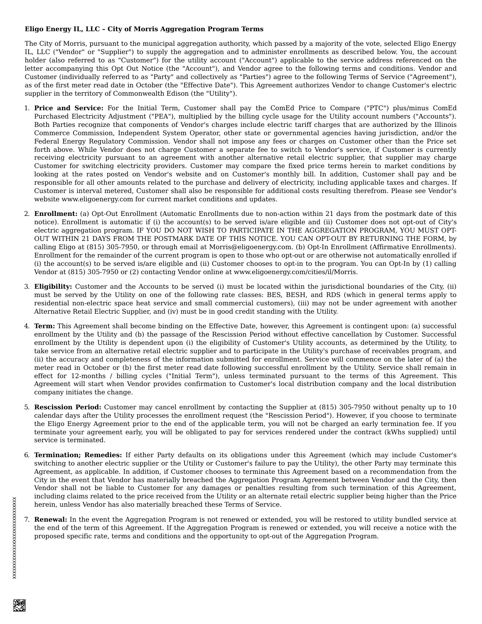## **Eligo Energy IL, LLC – City of Morris Aggregation Program Terms**

The City of Morris, pursuant to the municipal aggregation authority, which passed by a majority of the vote, selected Eligo Energy IL, LLC ("Vendor" or "Supplier") to supply the aggregation and to administer enrollments as described below. You, the account holder (also referred to as "Customer") for the utility account ("Account") applicable to the service address referenced on the letter accompanying this Opt Out Notice (the "Account"), and Vendor agree to the following terms and conditions. Vendor and Customer (individually referred to as "Party" and collectively as "Parties") agree to the following Terms of Service ("Agreement"), as of the first meter read date in October (the "Effective Date"). This Agreement authorizes Vendor to change Customer's electric supplier in the territory of Commonwealth Edison (the "Utility").

- 1. **Price and Service:** For the Initial Term, Customer shall pay the ComEd Price to Compare ("PTC") plus/minus ComEd Purchased Electricity Adjustment ("PEA"), multiplied by the billing cycle usage for the Utility account numbers ("Accounts"). Both Parties recognize that components of Vendor's charges include electric tariff charges that are authorized by the Illinois Commerce Commission, Independent System Operator, other state or governmental agencies having jurisdiction, and/or the Federal Energy Regulatory Commission. Vendor shall not impose any fees or charges on Customer other than the Price set forth above. While Vendor does not charge Customer a separate fee to switch to Vendor's service, if Customer is currently receiving electricity pursuant to an agreement with another alternative retail electric supplier, that supplier may charge Customer for switching electricity providers. Customer may compare the fixed price terms herein to market conditions by looking at the rates posted on Vendor's website and on Customer's monthly bill. In addition, Customer shall pay and be responsible for all other amounts related to the purchase and delivery of electricity, including applicable taxes and charges. If Customer is interval metered, Customer shall also be responsible for additional costs resulting therefrom. Please see Vendor's website www.eligoenergy.com for current market conditions and updates.
- 2. **Enrollment:** (a) Opt-Out Enrollment (Automatic Enrollments due to non-action within 21 days from the postmark date of this notice). Enrollment is automatic if (i) the account(s) to be served is/are eligible and (ii) Customer does not opt-out of City's electric aggregation program. IF YOU DO NOT WISH TO PARTICIPATE IN THE AGGREGATION PROGRAM, YOU MUST OPT-OUT WITHIN 21 DAYS FROM THE POSTMARK DATE OF THIS NOTICE. YOU CAN OPT-OUT BY RETURNING THE FORM, by calling Eligo at (815) 305-7950, or through email at Morris@eligoenergy.com. (b) Opt-In Enrollment (Affirmative Enrollments). Enrollment for the remainder of the current program is open to those who opt-out or are otherwise not automatically enrolled if (i) the account(s) to be served is/are eligible and (ii) Customer chooses to opt-in to the program. You can Opt-In by (1) calling Vendor at (815) 305-7950 or (2) contacting Vendor online at www.eligoenergy.com/cities/il/Morris.
- 3. **Eligibility:** Customer and the Accounts to be served (i) must be located within the jurisdictional boundaries of the City, (ii) must be served by the Utility on one of the following rate classes: BES, BESH, and RDS (which in general terms apply to residential non-electric space heat service and small commercial customers), (iii) may not be under agreement with another Alternative Retail Electric Supplier, and (iv) must be in good credit standing with the Utility.
- 4. **Term:** This Agreement shall become binding on the Effective Date, however, this Agreement is contingent upon: (a) successful enrollment by the Utility and (b) the passage of the Rescission Period without effective cancellation by Customer. Successful enrollment by the Utility is dependent upon (i) the eligibility of Customer's Utility accounts, as determined by the Utility, to take service from an alternative retail electric supplier and to participate in the Utility's purchase of receivables program, and (ii) the accuracy and completeness of the information submitted for enrollment. Service will commence on the later of (a) the meter read in October or (b) the first meter read date following successful enrollment by the Utility. Service shall remain in effect for 12-months / billing cycles ("Initial Term"), unless terminated pursuant to the terms of this Agreement. This Agreement will start when Vendor provides confirmation to Customer's local distribution company and the local distribution company initiates the change.
- 5. **Rescission Period:** Customer may cancel enrollment by contacting the Supplier at (815) 305-7950 without penalty up to 10 calendar days after the Utility processes the enrollment request (the "Rescission Period"). However, if you choose to terminate the Eligo Energy Agreement prior to the end of the applicable term, you will not be charged an early termination fee. If you terminate your agreement early, you will be obligated to pay for services rendered under the contract (kWhs supplied) until service is terminated.
- 6. **Termination; Remedies:** If either Party defaults on its obligations under this Agreement (which may include Customer's switching to another electric supplier or the Utility or Customer's failure to pay the Utility), the other Party may terminate this Agreement, as applicable. In addition, if Customer chooses to terminate this Agreement based on a recommendation from the City in the event that Vendor has materially breached the Aggregation Program Agreement between Vendor and the City, then Vendor shall not be liable to Customer for any damages or penalties resulting from such termination of this Agreement, including claims related to the price received from the Utility or an alternate retail electric supplier being higher than the Price herein, unless Vendor has also materially breached these Terms of Service.
- 7. **Renewal:** In the event the Aggregation Program is not renewed or extended, you will be restored to utility bundled service at the end of the term of this Agreement. If the Aggregation Program is renewed or extended, you will receive a notice with the proposed specific rate, terms and conditions and the opportunity to opt-out of the Aggregation Program.